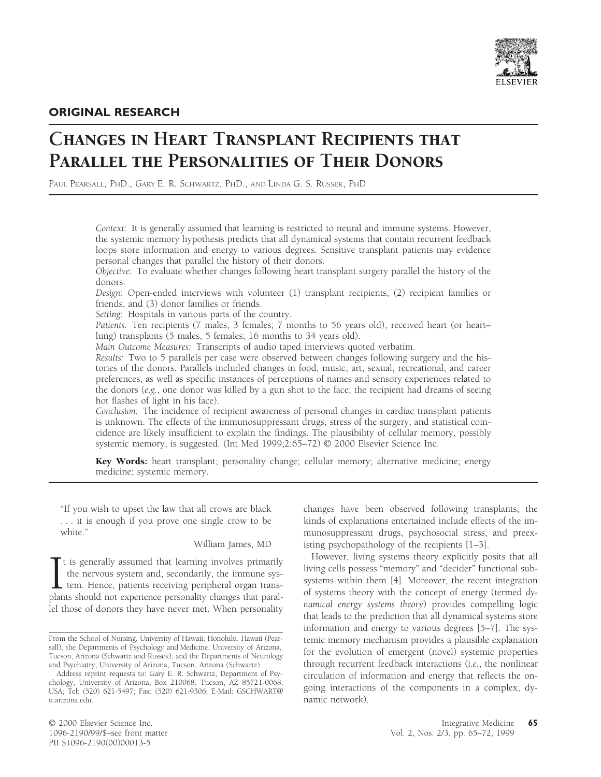

### **ORIGINAL RESEARCH**

### **C**HANGES IN **H**EART **T**RANSPLANT **R**ECIPIENTS THAT **P**ARALLEL THE **P**ERSONALITIES OF **T**HEIR **D**ONORS

PAUL PEARSALL, PHD., GARY E. R. SCHWARTZ, PHD., AND LINDA G. S. RUSSEK, PHD

*Context:* It is generally assumed that learning is restricted to neural and immune systems. However, the systemic memory hypothesis predicts that all dynamical systems that contain recurrent feedback loops store information and energy to various degrees. Sensitive transplant patients may evidence personal changes that parallel the history of their donors.

*Objective:* To evaluate whether changes following heart transplant surgery parallel the history of the donors.

*Design:* Open-ended interviews with volunteer (1) transplant recipients, (2) recipient families or friends, and (3) donor families or friends.

*Setting:* Hospitals in various parts of the country.

*Patients:* Ten recipients (7 males, 3 females; 7 months to 56 years old), received heart (or heart– lung) transplants (5 males, 5 females; 16 months to 34 years old).

*Main Outcome Measures:* Transcripts of audio taped interviews quoted verbatim.

*Results:* Two to 5 parallels per case were observed between changes following surgery and the histories of the donors. Parallels included changes in food, music, art, sexual, recreational, and career preferences, as well as specific instances of perceptions of names and sensory experiences related to the donors (*e.g.*, one donor was killed by a gun shot to the face; the recipient had dreams of seeing hot flashes of light in his face).

*Conclusion:* The incidence of recipient awareness of personal changes in cardiac transplant patients is unknown. The effects of the immunosuppressant drugs, stress of the surgery, and statistical coincidence are likely insufficient to explain the findings. The plausibility of cellular memory, possibly systemic memory, is suggested. (Int Med 1999;2: $65-72$ )  $\odot$  2000 Elsevier Science Inc.

Key Words: heart transplant; personality change; cellular memory; alternative medicine; energy medicine; systemic memory.

"If you wish to upset the law that all crows are black changes have been observed following transplants, the ... it is enough if you prove one single crow to be kinds of explanations entertained include effects of the imwhite." white." munosuppressant drugs, psychosocial stress, and preex-William James, MD isting psychopathology of the recipients [1–3].

It is generally assumed that learning involves primarily<br>the nervous system and, secondarily, the immune sys-<br>tem. Hence, patients receiving peripheral organ trans-<br>plants should not experience personality changes that par The state of that learning involves primarily<br>the nervous system and, secondarily, the immune sys-<br>tem. Hence, patients receiving peripheral organ trans-<br>plants should not experience personality changes that paral-<br>lel tho information and energy to various degrees [5–7]. The sys-From the School of Nursing, University of Hawaii, Honolulu, Hawaii (Pear-<br>sall), the Departments of Psychology and Medicine, University of Arizona,<br>Tucson, Arizona (Schwartz and Russek), and the Departments of Neurology<br>an and Psychiatry, University of Arizona, Tucson, Arizona (Schwartz). through recurrent feedback interactions (*i.e.*, the nonlinear Address reprint requests to: Gary E. R. Schwartz, Department of Psy-circulation of informati Address reprint requests to: Gary E. R. Schwartz, Department of Psychical Circulation of information and energy that reflects the on-<br>chology, University of Arizona, Box 210068, Tucson, AZ 85721-0068,<br>USA; Tel: (520) 621-5

u.arizona.edu. namic network).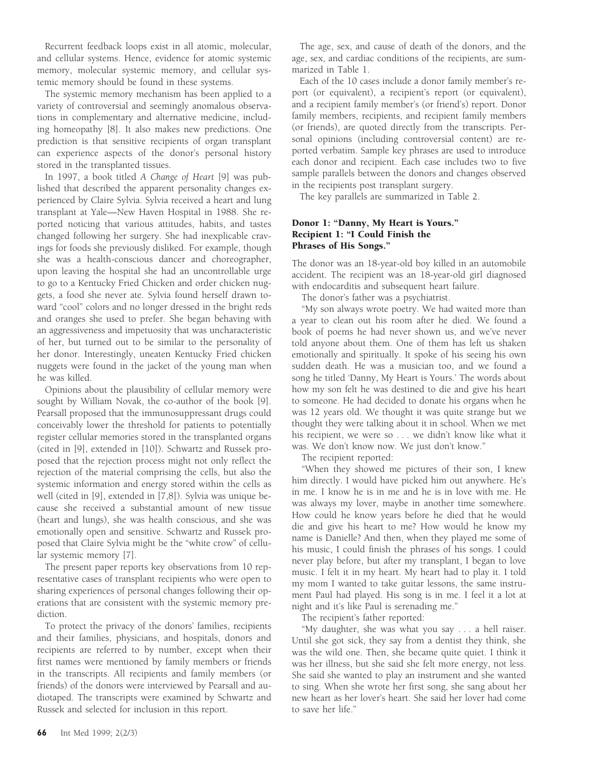and cellular systems. Hence, evidence for atomic systemic age, sex, and cardiac conditions of the recipients, are summemory, molecular systemic memory, and cellular sys- marized in Table 1. temic memory should be found in these systems. Each of the 10 cases include a donor family member's re-

variety of controversial and seemingly anomalous observa-<br>tions in complementary and alternative medicine, includ-<br>family members, recipients, and recipient family members tions in complementary and alternative medicine, includ-<br>ing homeopathy [8] It also makes new predictions One (or friends), are quoted directly from the transcripts. Pering homeopathy [8]. It also makes new predictions. One (or friends), are quoted directly from the transcripts. Per-<br>prediction is that sensitive recipients of organ transplant sonal opinions (including controversial conten prediction is that sensitive recipients of organ transplant sonal opinions (including controversial content) are re-<br>can experience aspects of the donor's personal history ported verbatim. Sample key phrases are used to in

transplant at Yale—New Haven Hospital in 1988. She reported noticing that various attitudes, habits, and tastes Donor 1: "Danny, My Heart is Yours." changed following her surgery. She had inexplicable crav-<br>
ings for foods she previously disliked. For example, though<br> **Phrases of His Songs.**" ings for foods she previously disliked. For example, though she was a health-conscious dancer and choreographer,<br>upon leaving the hospital she had an uncontrollable urge to go to a Kentucky Fried Chicken and order chicken nug-<br>to go to a Kentucky Fried Chicken and order chicken nug and oranges she used to prefer. She began behaving with a year to clean out his room after he died. We found a<br>an aggressiveness and impetuosity that was uncharacteristic book of poems he had never shown us, and we've neve of her, but turned out to be similar to the personality of told anyone about them. One of them has left us shaken her donor. Interestingly, uneaten Kentucky Fried chicken emotionally and spiritually. It spoke of his seeing his own nuggets were found in the jacket of the young man when sudden death. He was a musician too, and we found a he was killed. Song he titled 'Danny, My Heart is Yours.' The words about

sought by William Novak, the co-author of the book [9]. to someone. He had decided to donate his organs when he Pearsall proposed that the immunosuppressant drugs could was 12 years old. We thought it was quite strange but we conceivably lower the threshold for patients to potentially thought they were talking about it in school. When we met register cellular memories stored in the transplanted organs his recipient, we were so . . . we didn't know li<br>(cited in [9] extended in [10]) Schwartz and Russek pro- was. We don't know now. We just don't know." (cited in [9], extended in [10]). Schwartz and Russek pro-<br>posed that the rejection process might not only reflect the The recipient reported:<br>rejection of the material comprising the cells, but also the "When they showed rejection of the material comprising the cells, but also the "When they showed me pictures of their son, I knew<br>systemic information and energy stored within the cells as him directly. I would have picked him out anywhere.

first names were mentioned by family members or friends was her illness, but she said she felt more energy, not less.<br>in the transcripts. All recipients and family members (or She said she wanted to play an instrument and in the transcripts. All recipients and family members (or She said she wanted to play an instrument and she wanted diotaped. The transcripts were examined by Schwartz and new heart as her lover's heart. She said her lover had come Russek and selected for inclusion in this report. to save her life."

Recurrent feedback loops exist in all atomic, molecular, The age, sex, and cause of death of the donors, and the

The systemic memory mechanism has been applied to a port (or equivalent), a recipient's report (or equivalent), a recipient's report (or equivalent), a recipient's report (or equivalent), a recipient of controversial and s can experience aspects of the donor's personal history and the verbatim. Sample key phrases are used to introduce<br>stored in the transplanted tissues.<br>In 1997, a book titled A Change of Heart [9] was pubsised that described

book of poems he had never shown us, and we've never Opinions about the plausibility of cellular memory were how my son felt he was destined to die and give his heart

Systemic information and energy stored within the cells as<br>
well (cited in [9], extended in [7,8]). Sylvia was unique be-<br>
us always my lover, maybe in mean the is in love with me. He is<br>
cause she received a substantial a

to sing. When she wrote her first song, she sang about her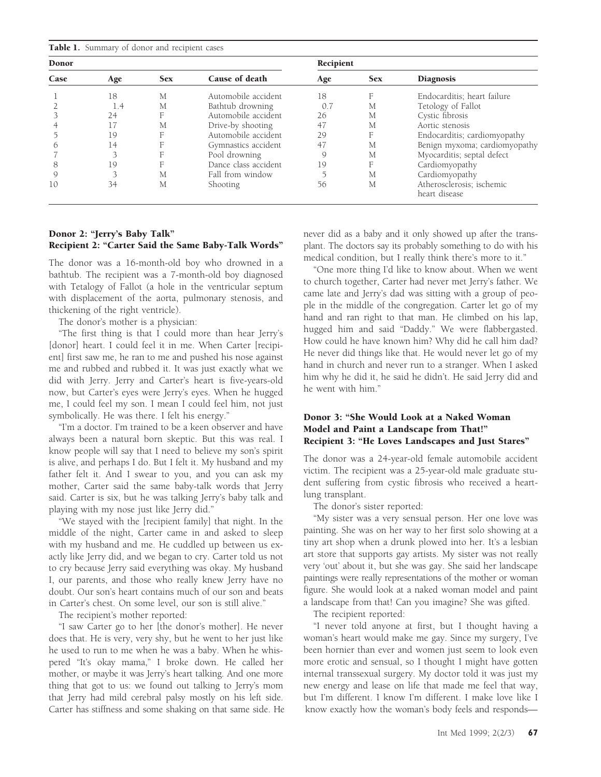Table 1. Summary of donor and recipient cases

| Donor        |     |            |                      | Recipient |            |                                            |
|--------------|-----|------------|----------------------|-----------|------------|--------------------------------------------|
| Case         | Age | <b>Sex</b> | Cause of death       | Age       | <b>Sex</b> | <b>Diagnosis</b>                           |
|              | 18  | M          | Automobile accident  | 18        | F          | Endocarditis; heart failure                |
|              | 1.4 | M          | Bathtub drowning     | 0.7       | M          | Tetology of Fallot                         |
|              | 24  | F          | Automobile accident  | 26        | M          | Cystic fibrosis                            |
|              |     | M          | Drive-by shooting    | 47        | M          | Aortic stenosis                            |
|              | 19  | F          | Automobile accident  | 29        | F          | Endocarditis; cardiomyopathy               |
| <sub>(</sub> | 14  | F          | Gymnastics accident  | 47        | M          | Benign myxoma; cardiomyopathy              |
|              | 3   | F          | Pool drowning        | 9         | М          | Myocarditis; septal defect                 |
| 8            | 19  | F          | Dance class accident | 19        | F          | Cardiomyopathy                             |
|              | 3   | М          | Fall from window     | 5         | M          | Cardiomyopathy                             |
| 10           | 34  | M          | Shooting             | 56        | M          | Atherosclerosis; ischemic<br>heart disease |

ent] first saw me, he ran to me and pushed his nose against he never did things like that. He would never let go of my<br>me and rubbed and rubbed it. It was just exactly what we hand in church and never run to a stranger. Wh did with Jerry. Jerry and Carter's heart is five-years-old him why he did it, now, but Carter's eyes were Jerry's eyes. When he hugged he went with him." me, I could feel my son. I mean I could feel him, not just symbolically. He was there. I felt his energy." **Donor 3: "She Would Look at a Naked Woman** 

"I'm a doctor. I'm trained to be a keen observer and have **Model and Paint a Landscape from That!"**<br>always been a natural born skeptic. But this was real. I **Recipient 3: "He Loves Landscapes and In** always been a natural born skeptic. But this was real. I **Recipient 3: "He Loves Landscapes and Just Stares"**<br>know people will say that I need to believe my son's spirit is alive, and perhaps I do. But I felt it. My husband and my<br>father felt it. And I swear to you, and you can ask my<br>mother Carter said the same baby-talk words that Ierry dent suffering from cystic fibrosis who received a mother, Carter said the same baby-talk words that Jerry dent suffering is<br>said Carter is six but he was talking Jerry's baby talk and lung transplant. said. Carter is six, but he was talking Jerry's baby talk and<br>playing with my nose just like Jerry did."<br>The donor's sister reported:<br>"We stayed with the [recipient family] that night. In the "My sister was a very sensual

middle of the night, Carter came in and asked to sleep painting. She was on her way to her first solo showing at a<br>with my bushand and me. He cuddled up between us ex. If they art shop when a drunk plowed into her. It's a with my husband and me. He cuddled up between us ex-<br>actly like Jerry did and we began to cry. Carter told us not art store that supports gay artists. My sister was not really actly like Jerry did, and we began to cry. Carter told us not to cry because Jerry said everything was okay. My husband very 'out' about it, but she was gay. She said her landscape<br>Lour parents, and those who really knew Jerry have no paintings were really representations of the moth I, our parents, and those who really knew Jerry have no doubt. Our son's heart contains much of our son and beats figure. She would look at a naked woman model and paint<br>in Carter's chest. On some level, our son is still alive "a landscape from that! Can you imagine? She was gi in Carter's chest. On some level, our son is still alive."

The recipient's mother reported: The recipient reported:

does that. He is very, very shy, but he went to her just like woman's heart would make me gay. Since my surgery, I've he used to run to me when he was a baby. When he whis- been hornier than ever and women just seem to look even pered "It's okay mama," I broke down. He called her more erotic and sensual, so I thought I might have gotten mother, or maybe it was Jerry's heart talking. And one more internal transsexual surgery. My doctor told it was just my thing that got to us: we found out talking to Jerry's mom new energy and lease on life that made me feel that way, that Jerry had mild cerebral palsy mostly on his left side. but I'm different. I know I'm different. I make love like I

**Donor 2: "Jerry's Baby Talk"** never did as a baby and it only showed up after the trans-Recipient 2: "Carter Said the Same Baby-Talk Words" plant. The doctors say its probably something to do with his

The donor was a 16-month-old boy who drowned in a<br>bathtub. The recipient was a 7-month-old boy diagnosed<br>with Tetalogy of Fallot (a hole in the ventricular septum<br>with displacement of the aorta, pulmonary stenosis, and<br>thi

"I saw Carter go to her [the donor's mother]. He never "I never told anyone at first, but I thought having a Carter has stiffness and some shaking on that same side. He know exactly how the woman's body feels and responds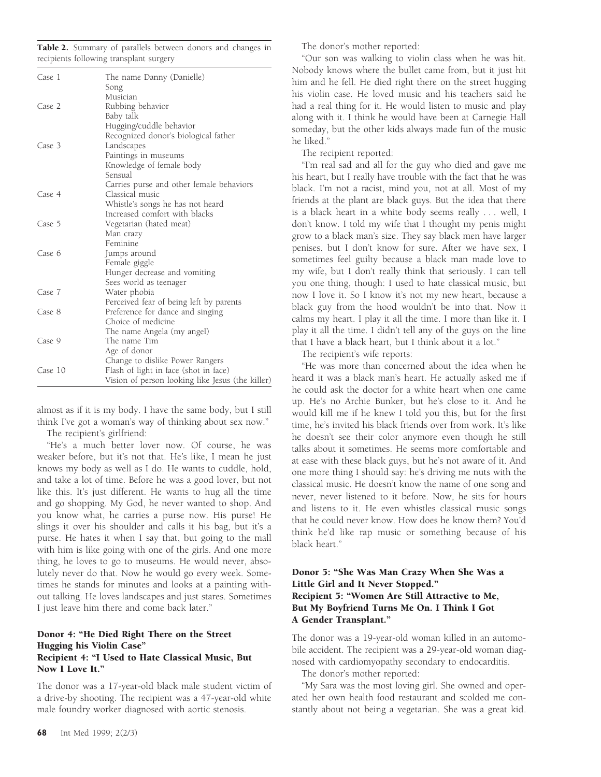Table 2. Summary of parallels between donors and changes in The donor's mother reported: recipients following transplant surgery "Our son was walking to violin class when he was hit.

| Case 1  | The name Danny (Danielle)                       |
|---------|-------------------------------------------------|
|         | Song                                            |
|         | Musician                                        |
| Case 2  | Rubbing behavior                                |
|         | Baby talk                                       |
|         | Hugging/cuddle behavior                         |
|         | Recognized donor's biological father            |
| Case 3  | Landscapes                                      |
|         | Paintings in museums                            |
|         | Knowledge of female body                        |
|         | Sensual                                         |
|         | Carries purse and other female behaviors        |
| Case 4  | Classical music                                 |
|         | Whistle's songs he has not heard                |
|         | Increased comfort with blacks                   |
| Case 5  | Vegetarian (hated meat)                         |
|         | Man crazy                                       |
|         | Feminine                                        |
| Case 6  | Jumps around                                    |
|         | Female giggle                                   |
|         | Hunger decrease and vomiting                    |
|         | Sees world as teenager                          |
| Case 7  | Water phobia                                    |
|         | Perceived fear of being left by parents         |
| Case 8  | Preference for dance and singing                |
|         | Choice of medicine                              |
|         | The name Angela (my angel)                      |
| Case 9  | The name Tim                                    |
|         | Age of donor                                    |
|         | Change to dislike Power Rangers                 |
| Case 10 | Flash of light in face (shot in face)           |
|         | Vision of person looking like Jesus (the killer |

weaker before, but it's not that. He's like, I mean he just<br>knows my body as well as I do. He wants to cuddle, hold,<br>and take a lot of time. Before he was a good lover, but not<br>classical music. He doesn't know the name of thing, he loves to go to museums. He would never, absolutely never do that. Now he would go every week. Some-<br>Donor 5: "She Was Man Crazy When She Was a times he stands for minutes and looks at a painting with-<br>Little Girl and It Never Stopped." out talking. He loves landscapes and just stares. Sometimes Recipient 5: "Women Are Still Attractive to Me, I just leave him there and come back later." But My Boyfriend Turns Me On. I Think I Got

## **Donor 4: "He Died Right There on the Street** The donor was a 19-year-old woman killed in an automo-<br> **Hugging his Violin Case"** The donor was a 19-year-old woman killed in an automo-<br> **Recipient 4: "I Used to Hate Classic**

The donor was a 17-year-old black male student victim of "My Sara was the most loving girl. She owned and oper-<br>a drive-by shooting. The recipient was a 47-year-old white ated her own health food restaurant and scolded me a drive-by shooting. The recipient was a 47-year-old white male foundry worker diagnosed with aortic stenosis. stantly about not being a vegetarian. She was a great kid.

Nobody knows where the bullet came from, but it just hit him and he fell. He died right there on the street hugging his violin case. He loved music and his teachers said he had a real thing for it. He would listen to music and play along with it. I think he would have been at Carnegie Hall someday, but the other kids always made fun of the music he liked."

The recipient reported:

"I'm real sad and all for the guy who died and gave me his heart, but I really have trouble with the fact that he was black. I'm not a racist, mind you, not at all. Most of my friends at the plant are black guys. But the idea that there is a black heart in a white body seems really . . . well, I don't know. I told my wife that I thought my penis might grow to a black man's size. They say black men have larger penises, but I don't know for sure. After we have sex, I sometimes feel guilty because a black man made love to my wife, but I don't really think that seriously. I can tell you one thing, though: I used to hate classical music, but now I love it. So I know it's not my new heart, because a black guy from the hood wouldn't be into that. Now it calms my heart. I play it all the time. I more than like it. I play it all the time. I didn't tell any of the guys on the line that I have a black heart, but I think about it a lot."

The recipient's wife reports:<br>"He was more than concerned about the idea when he heard it was a black man's heart. He actually asked me if he could ask the doctor for a white heart when one came almost as if it is my body. I have the same body, but I still would kill me if he knew I told you this, but for the first<br>think I've got a woman's way of thinking about sex now." The recipient's girlfriend:<br>The recipient's

## A Gender Transplant."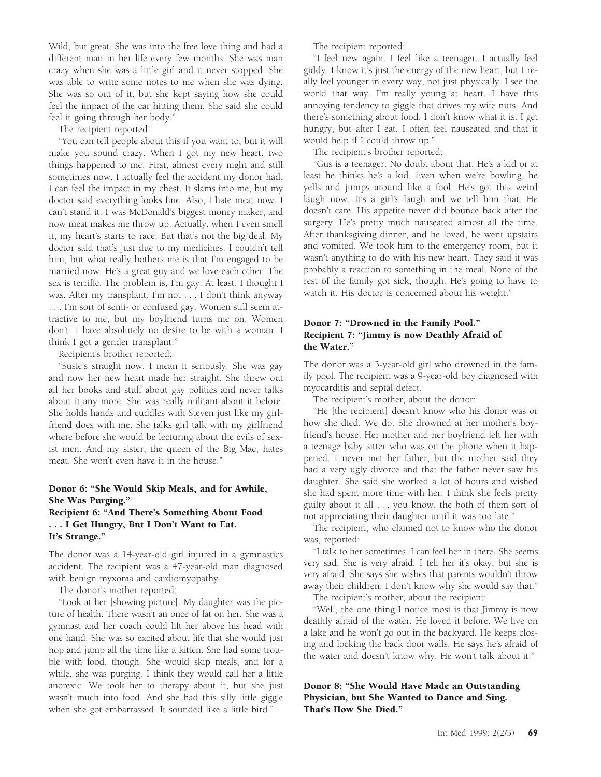Wild, but great. She was into the free love thing and had a The recipient reported: different man in her life every few months. She was man "I feel new again. I feel like a teenager. I actually feel crazy when she was a little girl and it never stopped. She giddy. I know it's just the energy of the new heart, but I rewas able to write some notes to me when she was dying. ally feel younger in every way, not just physically. I see the She was so out of it, but she kept saying how she could world that way. I'm really young at heart. I have this feel the impact of the car hitting them. She said she could annoying tendency to giggle that drives my wife nuts. And feel it going through her body." there's something about food. I don't know what it is. I get

"You can tell people about this if you want to, but it will would help if I could throw up." make you sound crazy. When I got my new heart, two The recipient's brother reported: things happened to me. First, almost every night and still "Gus is a teenager. No doubt about that. He's a kid or at sometimes now, I actually feel the accident my donor had. least he thinks he's a kid. Even when we're bowling, he<br>I can feel the impact in my chest. It slams into me, but my yells and jumps around like a fool. He's got thi I can feel the impact in my chest. It slams into me, but my doctor said everything looks fine. Also, I hate meat now. I laugh now. It's a girl's laugh and we tell him that. He can't stand it. I was McDonald's biggest money maker, and doesn't care. His appetite never did bounce back after the now meat makes me throw up. Actually, when I even smell surgery. He's pretty much nauseated almost all the time.<br>it, my heart's starts to race. But that's not the big deal. My After thanksgiving dinner, and he loved, he we it, my heart's starts to race. But that's not the big deal. My doctor said that's just due to my medicines. I couldn't tell and vomited. We took him to the emergency room, but it him but what really bothers me is that I'm engaged to be wasn't anything to do with his new heart. They sa him, but what really bothers me is that I'm engaged to be wasn't anything to do with his new heart. They said it was<br>married now He's a great guy and we love each other. The probably a reaction to something in the meal. No married now. He's a great guy and we love each other. The probably a reaction to something in the meal. None of the<br>sex is terrific. The problem is I'm gay. At least I thought I rest of the family got sick, though. He's go sex is terrific. The problem is, I'm gay. At least, I thought I rest of the family got sick, though. He's going to h<br>was After my transplant I'm not I don't think anyway watch it. His doctor is concerned about his weight." was. After my transplant, I'm not . . . I don't think anyway . . . I'm sort of semi- or confused gay. Women still seem attractive to me, but my boyfriend turns me on. Women<br>don't. I have absolutely no desire to be with a woman. I<br>think I got a gender transplant."<br>**Recipient 7: "Jimmy is now Deathly Afraid of**<br>the **Water."** 

Recipient's brother reported:

and now her new heart made her straight. She threw out ily pool. The recipient was a 9-<br>all her books and stuff about gay politics and never-talks myocarditis and septal defect. all her books and stuff about gay politics and never talks myocarditis and septal defect.<br>about it any more, She was really militant about it before. The recipient's mother, about the donor: about it any more. She was really militant about it before. The recipient's mother, about the donor:<br>She holds hands and cuddles with Steven just like my girl. "He [the recipient] doesn't know who his donor was or She holds hands and cuddles with Steven just like my girl-<br>
"He [the recipient] doesn't know who his donor was or<br>
friend does with me She talks girl talk with my girlfriend how she died. We do. She drowned at her mother's friend does with me. She talks girl talk with my girlfriend how she died. We do. She drowned at her mother's boy-<br>where before she would be lecturing about the evils of sex-<br>friend's house. Her mother and her boyfriend lef where before she would be lecturing about the evils of sex-<br>ist men And my sister the queen of the Big Mac hates a teenage baby sitter who was on the phone when it hapist men. And my sister, the queen of the Big Mac, hates meat. She won't even have it in the house." pened. I never met her father, but the mother said they

The donor was a 14-year-old girl injured in a gymnastics<br>accident. The recipient was a 47-year-old man diagnosed<br>with benign myxoma and cardiomyopathy.<br>We are donor's mother reported:<br>with benign myxoma and cardiomyopathy. while, she was purging. I think they would call her a little anorexic. We took her to therapy about it, but she just Donor 8: "She Would Have Made an Outstanding wasn't much into food. And she had this silly little giggle Physician, but She Wanted to Dance and Sing. when she got embarrassed. It sounded like a little bird." That's How She Died."

The recipient reported: hungry, but after I eat, I often feel nauseated and that it

"Susie's straight now. I mean it seriously. She was gay The donor was a 3-year-old girl who drowned in the fam-<br>d now her new heart made her straight. She threw out ily pool. The recipient was a 9-year-old boy diagnosed wi

had a very ugly divorce and that the father never saw his **Donor 6: "She Would Skip Meals, and for Awhile,**<br> **She Was Purging."**<br> **Recipient 6: "And There's Something About Food**<br> **Recipient 6: "And There's Something About Food**<br> **Recipient 6: "And There's Something About Food**<br>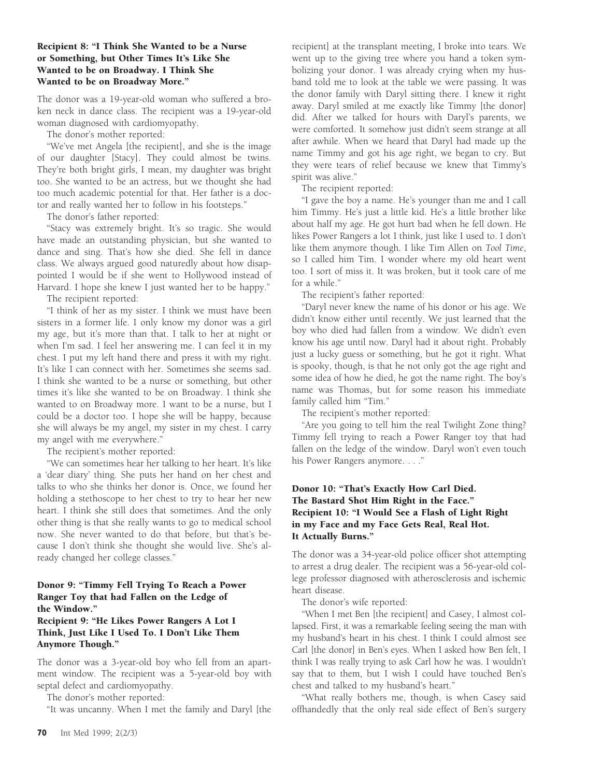sisters in a former life. I only know my donor was a girl<br>my age, but it's more than that. I talk to her at night or<br>who died had fallen from a window. We didn't even<br>when I'm sad. I feel her answering me, I can feel it in when I'm sad. I feel her answering me. I can feel it in my know his age until now. Daryl had it about right. Probably<br>chest I put my left hand there and press it with my right its a lucky guess or something, but he got it chest. I put my left hand there and press it with my right. This is pooky, though, is that he not only got the age right. What<br>It's like I can connect with her. Sometimes she seems sad. It's spooky, though, is that he not I think she wanted to be a nurse or something, but other some idea of how he died, he got the name right. The boy's times it's like she wanted to be on Broadway. I think she name was Thomas, but for some reason his immedia wanted to on Broadway more. I want to be a nurse, but I family called him "Tim."<br>could be a doctor too. I hope she will be happy because. The recipient's mother reported: could be a doctor too. I hope she will be happy, because The recipient's mother reported:<br>
she will always be my angel, my sister in my chest. I carry "Are you going to tell him the real Twilight Zone thing? my angel with me everywhere." Timmy fell trying to reach a Power Ranger toy that had

"We can sometimes hear her talking to her heart. It's like a 'dear diary' thing. She puts her hand on her chest and talks to who she thinks her donor is. Once, we found her Donor 10: "That's Exactly How Carl Died. holding a stethoscope to her chest to try to hear her new **The Bastard Shot Him Right in the Face."**<br>heart. I think she still does that sometimes. And the only **Recipient 10: "I Would See a Flash of Lig** other thing is that she really wants to go to medical school in my Face and my Face Gets Real, Real Hot. now. She never wanted to do that before, but that's be-<br>cause I don't think she thought she would live. She's al-

ment window. The recipient was a 5-year-old boy with say that to them, but I wish I could have touched Ben's septal defect and cardiomyopathy. chest and talked to my husband's heart."

**Recipient 8: "I Think She Wanted to be a Nurse** recipient] at the transplant meeting, I broke into tears. We or Something, but Other Times It's Like She went up to the giving tree where you hand a token sym-Wanted to be on Broadway. I Think She bolizing your donor. I was already crying when my hus-Wanted to be on Broadway More." band told me to look at the table we were passing. It was

The donor was a 19-year-old woman who suffered a brocheas. The donor was a 19-year-old woman who suffered a brocheas the receiptent was a 19-year-old and metally in the donor's mother reported:<br>
"We meet in decayle illust

The recipient's mother reported:<br>"We can sometimes hear her talking to her heart It's like his Power Rangers anymore...."

# Recipient 10: "I Would See a Flash of Light Right

ready changed her college classes." The donor was a 34-year-old police officer shot attempting to arrest a drug dealer. The recipient was a 56-year-old col-

**Donor 9: "Timmy Fell Trying To Reach a Power**<br> **Ranger Toy that had Fallen on the Ledge of**<br> **Recipient 9: "He Likes Power Rangers A Lot I**<br> **Recipient 9: "He Likes Power Rangers A Lot I**<br> **Recipient 1 met** Ben [the recip The donor was a 3-year-old boy who fell from an apart- think I was really trying to ask Carl how he was. I wouldn't

The donor's mother reported: "What really bothers me, though, is when Casey said "It was uncanny. When I met the family and Daryl [the offhandedly that the only real side effect of Ben's surgery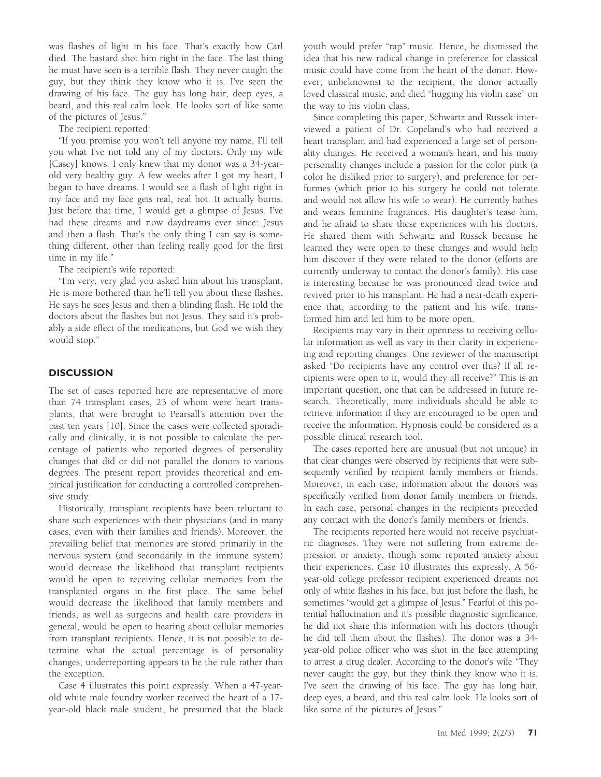was flashes of light in his face. That's exactly how Carl youth would prefer "rap" music. Hence, he dismissed the died. The bastard shot him right in the face. The last thing idea that his new radical change in preference for classical he must have seen is a terrible flash. They never caught the music could have come from the heart of the donor. Howguy, but they think they know who it is. I've seen the ever, unbeknownst to the recipient, the donor actually drawing of his face. The guy has long hair, deep eyes, a loved classical music, and died "hugging his violin case" on beard, and this real calm look. He looks sort of like some the way to his violin class.

"If you promise you won't tell anyone my name, I'll tell heart transplant and had experienced a large set of person-[Casey] knows. I only knew that my donor was a 34-year- personality changes include a passion for the color pink (a old very healthy guy. A few weeks after I got my heart, I color he disliked prior to surgery), and preference for per-<br>began to have dreams. I would see a flash of light right in furmes (which prior to his surgery he could my face and my face gets real, real hot. It actually burns. and would not allow his wife to wear). He currently bathes Just before that time, I would get a glimpse of Jesus. I've and wears feminine fragrances. His daughter's tease him, had these dreams and now daydreams ever since: Jesus and he afraid to share these experiences with his doctors. and then a flash. That's the only thing I can say is some- He shared them with Schwartz and Russek because he thing different, other than feeling really good for the first learned they were open to these changes and would help<br>time in my life."<br>him discover if they were related to the donor (efforts are

"I'm very, very glad you asked him about his transplant. is interesting because he was pronounced dead twice and<br>He is more bothered than he'll tell you about these flashes. inviewed prior to his transplant. He had a near-He is more bothered than he'll tell you about these flashes. revived prior to his transplant. He had a near-death experi-<br>He says he sees Jesus and then a blinding flash. He told the sence that according to the patient and doctors about the flashes but not Jesus. They said it's prob-<br>ably a side effect of the medications, but God we wish they<br>Recipients may vary in their openness to ably a side effect of the medications, but God we wish they Recipients may vary in their openness to receiving cellu-<br>Would stop."<br>Iar information as well as vary in their clarity in experienc-

than 74 transplant cases, 23 of whom were heart trans- search. Theoretically, more individuals should be able to plants, that were brought to Pearsall's attention over the retrieve information if they are encouraged to be open and past ten years [10]. Since the cases were collected sporadi- receive the information. Hypnosis could be considered as a cally and clinically, it is not possible to calculate the per-<br>
centage of patients who reported degrees of personality<br>
The cases reported here are unusual (but not unique) in centage of patients who reported degrees of personality changes that did or did not parallel the donors to various that clear changes were observed by recipients that were subdegrees. The present report provides theoretical and em- sequently verified by recipient family members or friends. pirical justification for conducting a controlled comprehen- Moreover, in each case, information about the donors was sive study. specifically verified from donor family members or friends.

share such experiences with their physicians (and in many any contact with the donor's family members or friends. cases, even with their families and friends). Moreover, the The recipients reported here would not receive psychiatprevailing belief that memories are stored primarily in the ric diagnoses. They were not suffering from extreme denervous system (and secondarily in the immune system) pression or anxiety, though some reported anxiety about would decrease the likelihood that transplant recipients their experiences. Case 10 illustrates this expressly. A 56 would be open to receiving cellular memories from the year-old college professor recipient experienced dreams not transplanted organs in the first place. The same belief only of white flashes in his face, but just before the flash, he would decrease the likelihood that family members and sometimes "would get a glimpse of Jesus." Fearful of this pofriends, as well as surgeons and health care providers in tential hallucination and it's possible diagnostic significance, general, would be open to hearing about cellular memories he did not share this information with his doctors (though from transplant recipients. Hence, it is not possible to de- he did tell them about the flashes). The donor was a 34 termine what the actual percentage is of personality year-old police officer who was shot in the face attempting changes; underreporting appears to be the rule rather than to arrest a drug dealer. According to the donor's wife "They the exception. The exception is the exception of the guy, but they think they know who it is.

old white male foundry worker received the heart of a 17- deep eyes, a beard, and this real calm look. He looks sort of year-old black male student, he presumed that the black like some of the pictures of Jesus."

of the pictures of Jesus." Since completing this paper, Schwartz and Russek inter-The recipient reported:<br>
"If you promise you won't tell anyone my name, I'll tell<br>  $\qquad$  heart transplant and had experienced a large set of personality changes. He received a woman's heart, and his many furmes (which prior to his surgery he could not tolerate the in my life."<br>The recipient's wife reported:<br>The recipient's wife reported:<br> $\frac{1}{2}$  him discover if they were related to the donor's family) His case The recipient's wife reported:<br>"I'm very, very glad you asked him about his transplant. is interesting because he was pronounced dead twice and ence that, according to the patient and his wife, trans-

lar information as well as vary in their clarity in experiencing and reporting changes. One reviewer of the manuscript **DISCUSSION** asked "Do recipients have any control over this? If all re-<br>cipients were open to it, would they all receive?" This is an The set of cases reported here are representative of more important question, one that can be addressed in future re-

Historically, transplant recipients have been reluctant to In each case, personal changes in the recipients preceded

Case 4 illustrates this point expressly. When a 47-year- I've seen the drawing of his face. The guy has long hair,